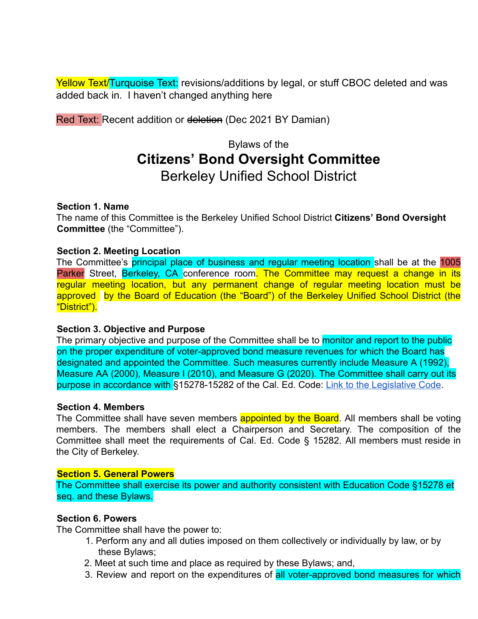Yellow Text/Turquoise Text: revisions/additions by legal, or stuff CBOC deleted and was added back in. I haven't changed anything here

Red Text: Recent addition or deletion (Dec 2021 BY Damian)

# Bylaws of the **Citizens' Bond Oversight Committee** Berkeley Unified School District

## **Section 1. Name**

The name of this Committee is the Berkeley Unified School District **Citizens' Bond Oversight Committee** (the "Committee").

## **Section 2. Meeting Location**

The Committee's principal place of business and regular meeting location shall be at the 1005 Parker Street, Berkeley, CA conference room. The Committee may request a change in its regular meeting location, but any permanent change of regular meeting location must be approved by the Board of Education (the "Board") of the Berkeley Unified School District (the "District").

# **Section 3. Objective and Purpose**

The primary objective and purpose of the Committee shall be to monitor and report to the public on the proper expenditure of voter-approved bond measure revenues for which the Board has designated and appointed the Committee. Such measures currently include Measure A (1992), Measure AA (2000), Measure I (2010), and Measure G (2020). The Committee shall carry out its purpose in accordance with §15278-15282 of the Cal. Ed. Code: Link to the Legislative Code.

#### **Section 4. Members**

The Committee shall have seven members **appointed by the Board**. All members shall be voting members. The members shall elect a Chairperson and Secretary. The composition of the Committee shall meet the requirements of Cal. Ed. Code § 15282. All members must reside in the City of Berkeley.

## **Section 5. General Powers**

The Committee shall exercise its power and authority consistent with Education Code §15278 et seq. and these Bylaws.

## **Section 6. Powers**

The Committee shall have the power to:

- 1. Perform any and all duties imposed on them collectively or individually by law, or by these Bylaws;
- 2. Meet at such time and place as required by these Bylaws; and,
- 3. Review and report on the expenditures of all voter-approved bond measures for which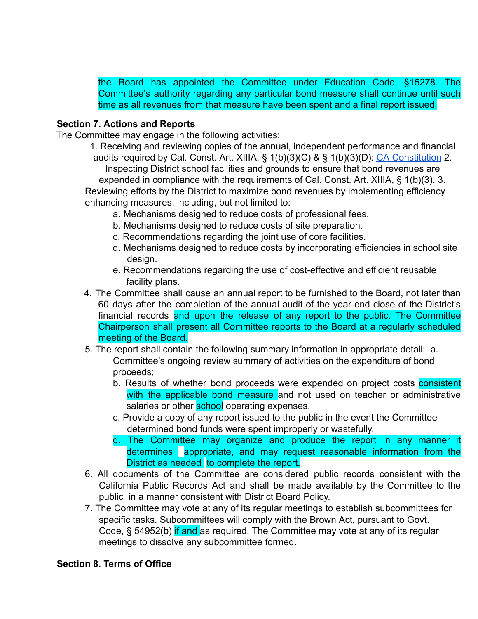the Board has appointed the Committee under Education Code, §15278. The Committee's authority regarding any particular bond measure shall continue until such time as all revenues from that measure have been spent and a final report issued.

# **Section 7. Actions and Reports**

The Committee may engage in the following activities:

1. Receiving and reviewing copies of the annual, independent performance and financial audits required by Cal. Const. Art. XIIIA, § 1(b)(3)(C) & § 1(b)(3)(D): CA Constitution 2. Inspecting District school facilities and grounds to ensure that bond revenues are expended in compliance with the requirements of Cal. Const. Art. XIIIA, § 1(b)(3). 3. Reviewing efforts by the District to maximize bond revenues by implementing efficiency enhancing measures, including, but not limited to:

- a. Mechanisms designed to reduce costs of professional fees.
- b. Mechanisms designed to reduce costs of site preparation.
- c. Recommendations regarding the joint use of core facilities.
- d. Mechanisms designed to reduce costs by incorporating efficiencies in school site design.
- e. Recommendations regarding the use of cost-effective and efficient reusable facility plans.
- 4. The Committee shall cause an annual report to be furnished to the Board, not later than 60 days after the completion of the annual audit of the year-end close of the District's financial records and upon the release of any report to the public. The Committee Chairperson shall present all Committee reports to the Board at a regularly scheduled meeting of the Board.
- 5. The report shall contain the following summary information in appropriate detail: a. Committee's ongoing review summary of activities on the expenditure of bond proceeds;
	- b. Results of whether bond proceeds were expended on project costs consistent with the applicable bond measure and not used on teacher or administrative salaries or other school operating expenses.
	- c. Provide a copy of any report issued to the public in the event the Committee determined bond funds were spent improperly or wastefully.
	- d. The Committee may organize and produce the report in any manner it determines appropriate, and may request reasonable information from the District as needed to complete the report.
- 6. All documents of the Committee are considered public records consistent with the California Public Records Act and shall be made available by the Committee to the public in a manner consistent with District Board Policy.
- 7. The Committee may vote at any of its regular meetings to establish subcommittees for specific tasks. Subcommittees will comply with the Brown Act, pursuant to Govt. Code, § 54952(b) if and as required. The Committee may vote at any of its regular meetings to dissolve any subcommittee formed.

# **Section 8. Terms of Office**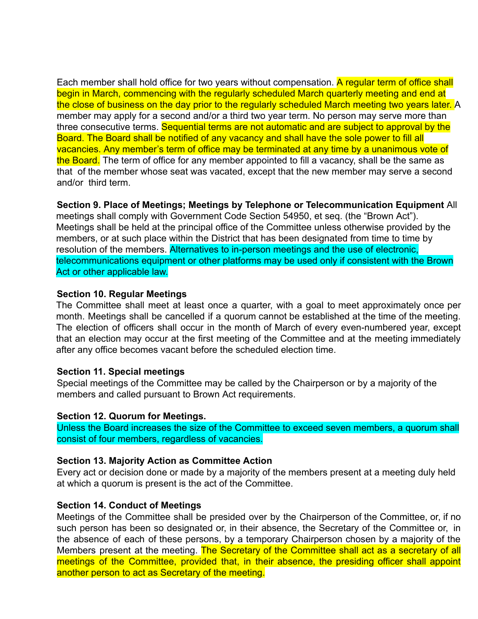Each member shall hold office for two years without compensation. A regular term of office shall begin in March, commencing with the regularly scheduled March quarterly meeting and end at the close of business on the day prior to the regularly scheduled March meeting two years later. A member may apply for a second and/or a third two year term. No person may serve more than three consecutive terms. Sequential terms are not automatic and are subject to approval by the Board. The Board shall be notified of any vacancy and shall have the sole power to fill all vacancies. Any member's term of office may be terminated at any time by a unanimous vote of the Board. The term of office for any member appointed to fill a vacancy, shall be the same as that of the member whose seat was vacated, except that the new member may serve a second and/or third term.

**Section 9. Place of Meetings; Meetings by Telephone or Telecommunication Equipment** All

meetings shall comply with Government Code Section 54950, et seq. (the "Brown Act"). Meetings shall be held at the principal office of the Committee unless otherwise provided by the members, or at such place within the District that has been designated from time to time by resolution of the members. Alternatives to in-person meetings and the use of electronic, telecommunications equipment or other platforms may be used only if consistent with the Brown Act or other applicable law.

## **Section 10. Regular Meetings**

The Committee shall meet at least once a quarter, with a goal to meet approximately once per month. Meetings shall be cancelled if a quorum cannot be established at the time of the meeting. The election of officers shall occur in the month of March of every even-numbered year, except that an election may occur at the first meeting of the Committee and at the meeting immediately after any office becomes vacant before the scheduled election time.

#### **Section 11. Special meetings**

Special meetings of the Committee may be called by the Chairperson or by a majority of the members and called pursuant to Brown Act requirements.

#### **Section 12. Quorum for Meetings.**

Unless the Board increases the size of the Committee to exceed seven members, a quorum shall consist of four members, regardless of vacancies.

# **Section 13. Majority Action as Committee Action**

Every act or decision done or made by a majority of the members present at a meeting duly held at which a quorum is present is the act of the Committee.

#### **Section 14. Conduct of Meetings**

Meetings of the Committee shall be presided over by the Chairperson of the Committee, or, if no such person has been so designated or, in their absence, the Secretary of the Committee or, in the absence of each of these persons, by a temporary Chairperson chosen by a majority of the Members present at the meeting. The Secretary of the Committee shall act as a secretary of all meetings of the Committee, provided that, in their absence, the presiding officer shall appoint another person to act as Secretary of the meeting.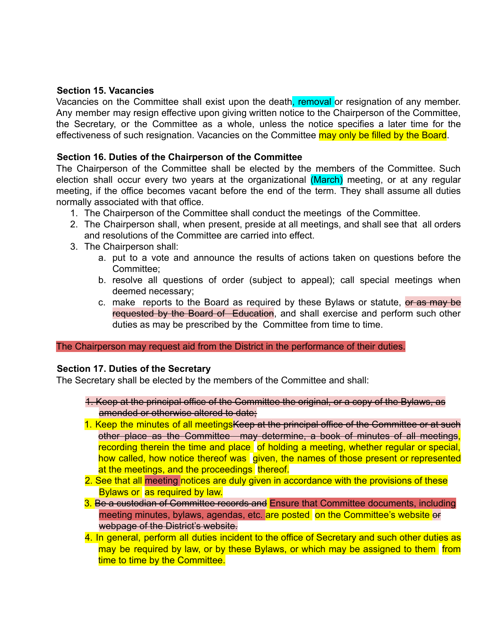# **Section 15. Vacancies**

Vacancies on the Committee shall exist upon the death, removal or resignation of any member. Any member may resign effective upon giving written notice to the Chairperson of the Committee, the Secretary, or the Committee as a whole, unless the notice specifies a later time for the effectiveness of such resignation. Vacancies on the Committee may only be filled by the Board.

# **Section 16. Duties of the Chairperson of the Committee**

The Chairperson of the Committee shall be elected by the members of the Committee. Such election shall occur every two years at the organizational (March) meeting, or at any regular meeting, if the office becomes vacant before the end of the term. They shall assume all duties normally associated with that office.

- 1. The Chairperson of the Committee shall conduct the meetings of the Committee.
- 2. The Chairperson shall, when present, preside at all meetings, and shall see that all orders and resolutions of the Committee are carried into effect.
- 3. The Chairperson shall:
	- a. put to a vote and announce the results of actions taken on questions before the Committee;
	- b. resolve all questions of order (subject to appeal); call special meetings when deemed necessary;
	- c. make reports to the Board as required by these Bylaws or statute, or as may be requested by the Board of Education, and shall exercise and perform such other duties as may be prescribed by the Committee from time to time.

The Chairperson may request aid from the District in the performance of their duties.

# **Section 17. Duties of the Secretary**

The Secretary shall be elected by the members of the Committee and shall:

- 1. Keep at the principal office of the Committee the original, or a copy of the Bylaws, as amended or otherwise altered to date;
- 1. Keep the minutes of all meetings Keep at the principal office of the Committee or at such other place as the Committee may determine, a book of minutes of all meetings,  $r$ ecording therein the time and place of holding a meeting, whether regular or special, how called, how notice thereof was given, the names of those present or represented at the meetings, and the proceedings thereof.
- 2. See that all meeting notices are duly given in accordance with the provisions of these Bylaws or as required by law.
- 3. Be a custodian of Committee records and Ensure that Committee documents, including meeting minutes, bylaws, agendas, etc. are posted on the Committee's website or webpage of the District's website.
- 4. In general, perform all duties incident to the office of Secretary and such other duties as may be required by law, or by these Bylaws, or which may be assigned to them from time to time by the Committee.